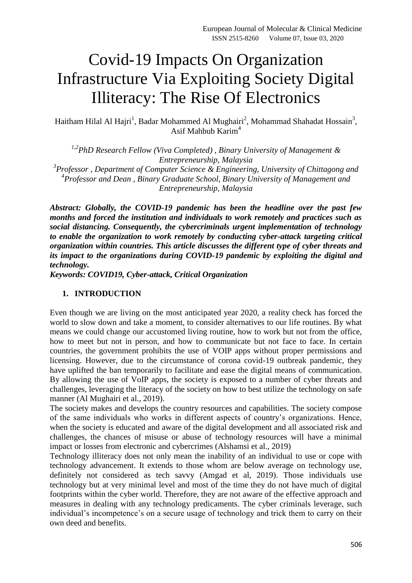# Covid-19 Impacts On Organization Infrastructure Via Exploiting Society Digital Illiteracy: The Rise Of Electronics

Haitham Hilal Al Hajri<sup>1</sup>, Badar Mohammed Al Mughairi<sup>2</sup>, Mohammad Shahadat Hossain<sup>3</sup>, Asif Mahbub Karim<sup>4</sup>

*1,2PhD Research Fellow (Viva Completed) , Binary University of Management & Entrepreneurship, Malaysia 3 Professor , Department of Computer Science & Engineering, University of Chittagong and 4 Professor and Dean , Binary Graduate School, Binary University of Management and* 

*Entrepreneurship, Malaysia*

*Abstract: Globally, the COVID-19 pandemic has been the headline over the past few months and forced the institution and individuals to work remotely and practices such as social distancing. Consequently, the cybercriminals urgent implementation of technology to enable the organization to work remotely by conducting cyber-attack targeting critical organization within countries. This article discusses the different type of cyber threats and its impact to the organizations during COVID-19 pandemic by exploiting the digital and technology.* 

*Keywords: COVID19, Cyber-attack, Critical Organization* 

#### **1. INTRODUCTION**

Even though we are living on the most anticipated year 2020, a reality check has forced the world to slow down and take a moment, to consider alternatives to our life routines. By what means we could change our accustomed living routine, how to work but not from the office, how to meet but not in person, and how to communicate but not face to face. In certain countries, the government prohibits the use of VOIP apps without proper permissions and licensing. However, due to the circumstance of corona covid-19 outbreak pandemic, they have uplifted the ban temporarily to facilitate and ease the digital means of communication. By allowing the use of VoIP apps, the society is exposed to a number of cyber threats and challenges, leveraging the literacy of the society on how to best utilize the technology on safe manner (Al Mughairi et al., 2019).

The society makes and develops the country resources and capabilities. The society compose of the same individuals who works in different aspects of country's organizations. Hence, when the society is educated and aware of the digital development and all associated risk and challenges, the chances of misuse or abuse of technology resources will have a minimal impact or losses from electronic and cybercrimes (Alshamsi et al., 2019)

Technology illiteracy does not only mean the inability of an individual to use or cope with technology advancement. It extends to those whom are below average on technology use, definitely not considered as tech savvy (Amgad et al, 2019). Those individuals use technology but at very minimal level and most of the time they do not have much of digital footprints within the cyber world. Therefore, they are not aware of the effective approach and measures in dealing with any technology predicaments. The cyber criminals leverage, such individual's incompetence's on a secure usage of technology and trick them to carry on their own deed and benefits.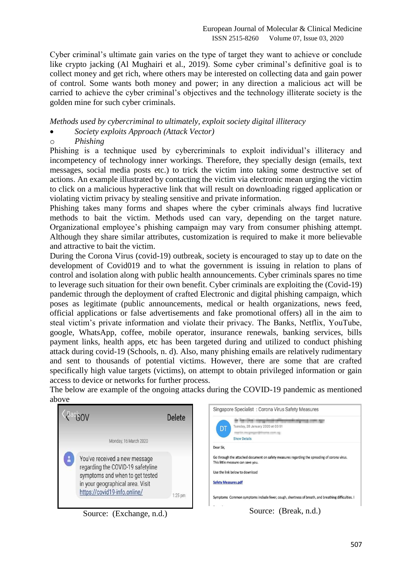Cyber criminal's ultimate gain varies on the type of target they want to achieve or conclude like crypto jacking (Al Mughairi et al., 2019). Some cyber criminal's definitive goal is to collect money and get rich, where others may be interested on collecting data and gain power of control. Some wants both money and power; in any direction a malicious act will be carried to achieve the cyber criminal's objectives and the technology illiterate society is the golden mine for such cyber criminals.

#### *Methods used by cybercriminal to ultimately, exploit society digital illiteracy*

- *Society exploits Approach (Attack Vector)*
- o *Phishing*

Phishing is a technique used by cybercriminals to exploit individual's illiteracy and incompetency of technology inner workings. Therefore, they specially design (emails, text messages, social media posts etc.) to trick the victim into taking some destructive set of actions. An example illustrated by contacting the victim via electronic mean urging the victim to click on a malicious hyperactive link that will result on downloading rigged application or violating victim privacy by stealing sensitive and private information.

Phishing takes many forms and shapes where the cyber criminals always find lucrative methods to bait the victim. Methods used can vary, depending on the target nature. Organizational employee's phishing campaign may vary from consumer phishing attempt. Although they share similar attributes, customization is required to make it more believable and attractive to bait the victim.

During the Corona Virus (covid-19) outbreak, society is encouraged to stay up to date on the development of Covid019 and to what the government is issuing in relation to plans of control and isolation along with public health announcements. Cyber criminals spares no time to leverage such situation for their own benefit. Cyber criminals are exploiting the (Covid-19) pandemic through the deployment of crafted Electronic and digital phishing campaign, which poses as legitimate (public announcements, medical or health organizations, news feed, official applications or false advertisements and fake promotional offers) all in the aim to steal victim's private information and violate their privacy. The Banks, Netflix, YouTube, google, WhatsApp, coffee, mobile operator, insurance renewals, banking services, bills payment links, health apps, etc has been targeted during and utilized to conduct phishing attack during covid-19 (Schools, n. d). Also, many phishing emails are relatively rudimentary and sent to thousands of potential victims. However, there are some that are crafted specifically high value targets (victims), on attempt to obtain privileged information or gain access to device or networks for further process.

The below are example of the ongoing attacks during the COVID-19 pandemic as mentioned above

|                                                                                                                                                                           | <b>Delete</b> | Singapore Specialist: Corona Virus Safety Measures                                                                                                                                                                                                                                                                                           |
|---------------------------------------------------------------------------------------------------------------------------------------------------------------------------|---------------|----------------------------------------------------------------------------------------------------------------------------------------------------------------------------------------------------------------------------------------------------------------------------------------------------------------------------------------------|
| Monday, 16 March 2020                                                                                                                                                     |               | Tuesday, 28 January 2020 at 03:51<br>DT<br>complete two programs distinguished count cap-<br><b>Show Details</b>                                                                                                                                                                                                                             |
| You've received a new message<br>regarding the COVID-19 safetyline<br>symptoms and when to get tested<br>in your geographical area. Visit<br>https://covid19-info.online/ | $1:25$ pm     | Dear Sir,<br>Go through the attached document on safety measures regarding the spreading of corona virus.<br>This little measure can save you.<br>Use the link below to download<br><b>Safety Measures.pdf</b><br>Symptoms Common symptoms include fever, cough, shortness of breath, and breathing difficulties. I<br>Source: (Break. n.d.) |

Source: (Exchange, n.d.)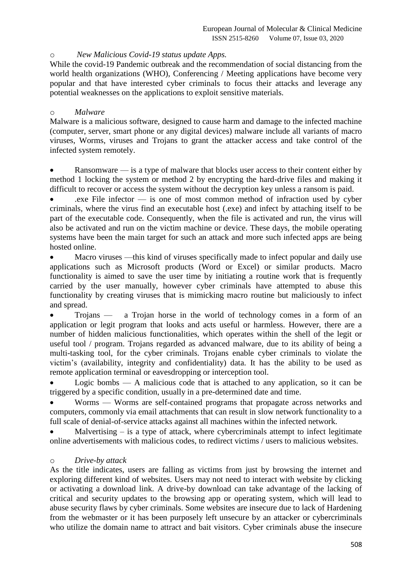#### o *New Malicious Covid-19 status update Apps.*

While the covid-19 Pandemic outbreak and the recommendation of social distancing from the world health organizations (WHO), Conferencing / Meeting applications have become very popular and that have interested cyber criminals to focus their attacks and leverage any potential weaknesses on the applications to exploit sensitive materials.

#### o *Malware*

Malware is a malicious software, designed to cause harm and damage to the infected machine (computer, server, smart phone or any digital devices) malware include all variants of macro viruses, Worms, viruses and Trojans to grant the attacker access and take control of the infected system remotely.

 Ransomware — is a type of malware that blocks user access to their content either by method 1 locking the system or method 2 by encrypting the hard-drive files and making it difficult to recover or access the system without the decryption key unless a ransom is paid.

 .exe File infector — is one of most common method of infraction used by cyber criminals, where the virus find an executable host (.exe) and infect by attaching itself to be part of the executable code. Consequently, when the file is activated and run, the virus will also be activated and run on the victim machine or device. These days, the mobile operating systems have been the main target for such an attack and more such infected apps are being hosted online.

 Macro viruses —this kind of viruses specifically made to infect popular and daily use applications such as Microsoft products (Word or Excel) or similar products. Macro functionality is aimed to save the user time by initiating a routine work that is frequently carried by the user manually, however cyber criminals have attempted to abuse this functionality by creating viruses that is mimicking macro routine but maliciously to infect and spread.

• Trojans — a Trojan horse in the world of technology comes in a form of an application or legit program that looks and acts useful or harmless. However, there are a number of hidden malicious functionalities, which operates within the shell of the legit or useful tool / program. Trojans regarded as advanced malware, due to its ability of being a multi-tasking tool, for the cyber criminals. Trojans enable cyber criminals to violate the victim's (availability, integrity and confidentiality) data. It has the ability to be used as remote application terminal or eavesdropping or interception tool.

 Logic bombs — A malicious code that is attached to any application, so it can be triggered by a specific condition, usually in a pre-determined date and time.

 Worms — Worms are self-contained programs that propagate across networks and computers, commonly via email attachments that can result in slow network functionality to a full scale of denial-of-service attacks against all machines within the infected network.

Malvertising  $-$  is a type of attack, where cybercriminals attempt to infect legitimate online advertisements with malicious codes, to redirect victims / users to malicious websites.

#### o *Drive-by attack*

As the title indicates, users are falling as victims from just by browsing the internet and exploring different kind of websites. Users may not need to interact with website by clicking or activating a download link. A drive-by download can take advantage of the lacking of critical and security updates to the browsing app or operating system, which will lead to abuse security flaws by cyber criminals. Some websites are insecure due to lack of Hardening from the webmaster or it has been purposely left unsecure by an attacker or cybercriminals who utilize the domain name to attract and bait visitors. Cyber criminals abuse the insecure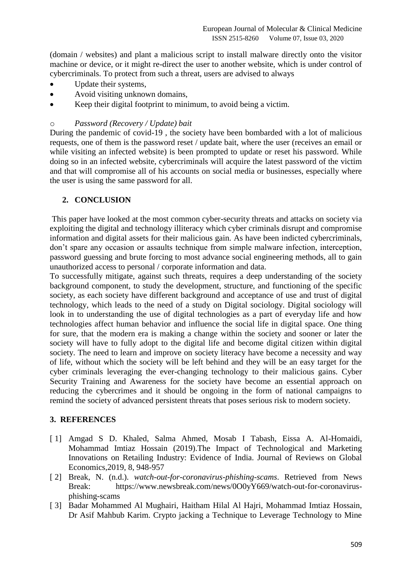(domain / websites) and plant a malicious script to install malware directly onto the visitor machine or device, or it might re-direct the user to another website, which is under control of cybercriminals. To protect from such a threat, users are advised to always

- Update their systems,
- Avoid visiting unknown domains,
- Keep their digital footprint to minimum, to avoid being a victim.

### o *Password (Recovery / Update) bait*

During the pandemic of covid-19 , the society have been bombarded with a lot of malicious requests, one of them is the password reset / update bait, where the user (receives an email or while visiting an infected website) is been prompted to update or reset his password. While doing so in an infected website, cybercriminals will acquire the latest password of the victim and that will compromise all of his accounts on social media or businesses, especially where the user is using the same password for all.

## **2. CONCLUSION**

This paper have looked at the most common cyber-security threats and attacks on society via exploiting the digital and technology illiteracy which cyber criminals disrupt and compromise information and digital assets for their malicious gain. As have been indicted cybercriminals, don't spare any occasion or assaults technique from simple malware infection, interception, password guessing and brute forcing to most advance social engineering methods, all to gain unauthorized access to personal / corporate information and data.

To successfully mitigate, against such threats, requires a deep understanding of the society background component, to study the development, structure, and functioning of the specific society, as each society have different background and acceptance of use and trust of digital technology, which leads to the need of a study on Digital sociology. Digital sociology will look in to understanding the use of digital technologies as a part of everyday life and how technologies affect human behavior and influence the social life in digital space. One thing for sure, that the modern era is making a change within the society and sooner or later the society will have to fully adopt to the digital life and become digital citizen within digital society. The need to learn and improve on society literacy have become a necessity and way of life, without which the society will be left behind and they will be an easy target for the cyber criminals leveraging the ever-changing technology to their malicious gains. Cyber Security Training and Awareness for the society have become an essential approach on reducing the cybercrimes and it should be ongoing in the form of national campaigns to remind the society of advanced persistent threats that poses serious risk to modern society.

#### **3. REFERENCES**

- [ 1] Amgad S D. Khaled, Salma Ahmed, Mosab I Tabash, Eissa A. Al-Homaidi, Mohammad Imtiaz Hossain (2019).The Impact of Technological and Marketing Innovations on Retailing Industry: Evidence of India. Journal of Reviews on Global Economics,2019, 8, 948-957
- [ 2] Break, N. (n.d.). *watch-out-for-coronavirus-phishing-scams*. Retrieved from News Break: https://www.newsbreak.com/news/0O0yY669/watch-out-for-coronavirusphishing-scams
- [ 3] Badar Mohammed Al Mughairi, Haitham Hilal Al Hajri, Mohammad Imtiaz Hossain, Dr Asif Mahbub Karim. Crypto jacking a Technique to Leverage Technology to Mine